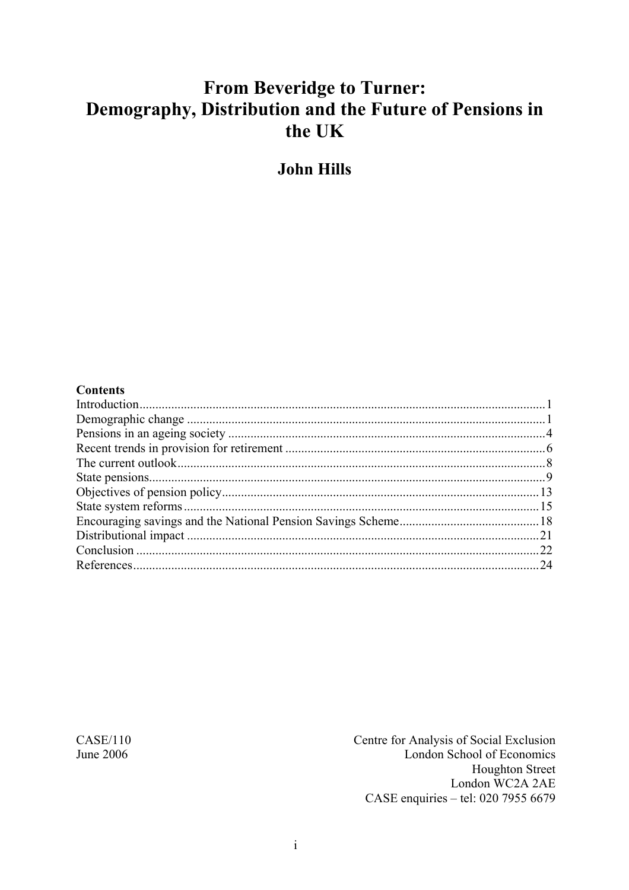# **From Beveridge to Turner:** Demography, Distribution and the Future of Pensions in the UK

**John Hills** 

#### **Contents**

**CASE/110** June 2006

Centre for Analysis of Social Exclusion London School of Economics **Houghton Street** London WC2A 2AE CASE enquiries - tel: 020 7955 6679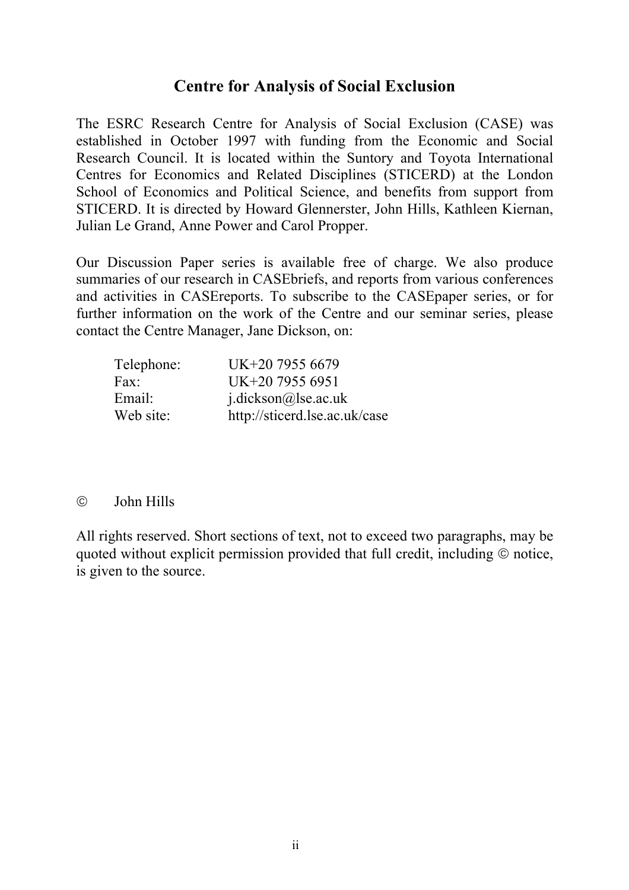#### **Centre for Analysis of Social Exclusion**

The ESRC Research Centre for Analysis of Social Exclusion (CASE) was established in October 1997 with funding from the Economic and Social Research Council. It is located within the Suntory and Toyota International Centres for Economics and Related Disciplines (STICERD) at the London School of Economics and Political Science, and benefits from support from STICERD. It is directed by Howard Glennerster, John Hills, Kathleen Kiernan, Julian Le Grand, Anne Power and Carol Propper.

Our Discussion Paper series is available free of charge. We also produce summaries of our research in CASEbriefs, and reports from various conferences and activities in CASEreports. To subscribe to the CASEpaper series, or for further information on the work of the Centre and our seminar series, please contact the Centre Manager, Jane Dickson, on:

| Telephone: | UK+20 7955 6679               |
|------------|-------------------------------|
| Fax:       | UK+20 7955 6951               |
| Email:     | $j$ .dickson@lse.ac.uk        |
| Web site:  | http://sticerd.lse.ac.uk/case |

#### © John Hills

All rights reserved. Short sections of text, not to exceed two paragraphs, may be quoted without explicit permission provided that full credit, including © notice, is given to the source.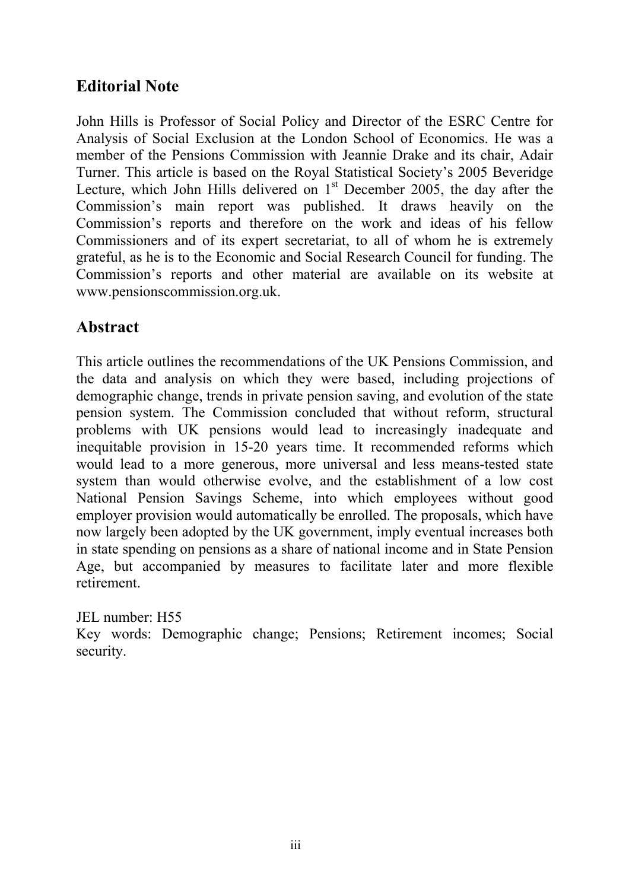## **Editorial Note**

John Hills is Professor of Social Policy and Director of the ESRC Centre for Analysis of Social Exclusion at the London School of Economics. He was a member of the Pensions Commission with Jeannie Drake and its chair, Adair Turner. This article is based on the Royal Statistical Society's 2005 Beveridge Lecture, which John Hills delivered on  $1<sup>st</sup>$  December 2005, the day after the Commission's main report was published. It draws heavily on the Commission's reports and therefore on the work and ideas of his fellow Commissioners and of its expert secretariat, to all of whom he is extremely grateful, as he is to the Economic and Social Research Council for funding. The Commission's reports and other material are available on its website at www.pensionscommission.org.uk.

## **Abstract**

This article outlines the recommendations of the UK Pensions Commission, and the data and analysis on which they were based, including projections of demographic change, trends in private pension saving, and evolution of the state pension system. The Commission concluded that without reform, structural problems with UK pensions would lead to increasingly inadequate and inequitable provision in 15-20 years time. It recommended reforms which would lead to a more generous, more universal and less means-tested state system than would otherwise evolve, and the establishment of a low cost National Pension Savings Scheme, into which employees without good employer provision would automatically be enrolled. The proposals, which have now largely been adopted by the UK government, imply eventual increases both in state spending on pensions as a share of national income and in State Pension Age, but accompanied by measures to facilitate later and more flexible retirement.

JEL number: H55

Key words: Demographic change; Pensions; Retirement incomes; Social security.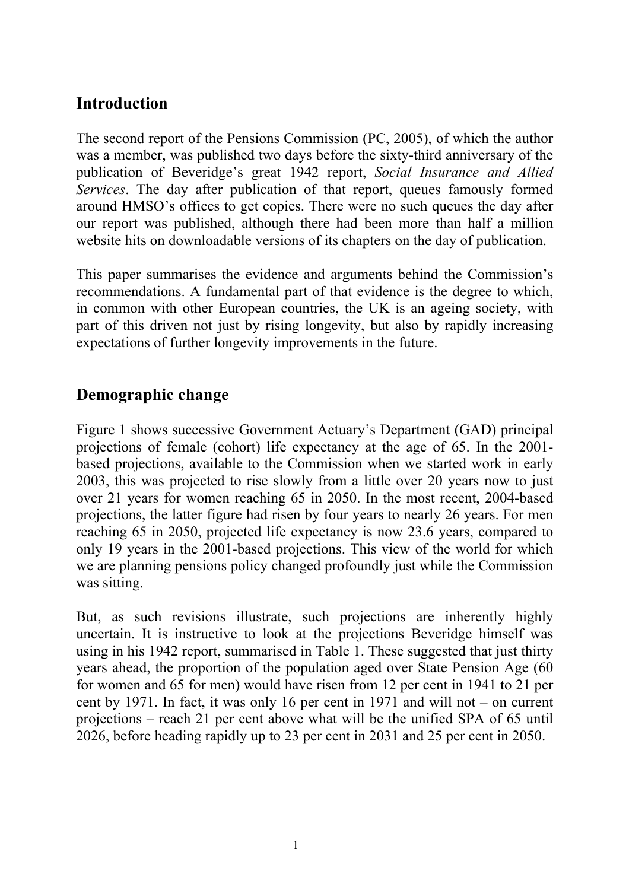## **Introduction**

The second report of the Pensions Commission (PC, 2005), of which the author was a member, was published two days before the sixty-third anniversary of the publication of Beveridge's great 1942 report, *Social Insurance and Allied Services*. The day after publication of that report, queues famously formed around HMSO's offices to get copies. There were no such queues the day after our report was published, although there had been more than half a million website hits on downloadable versions of its chapters on the day of publication.

This paper summarises the evidence and arguments behind the Commission's recommendations. A fundamental part of that evidence is the degree to which, in common with other European countries, the UK is an ageing society, with part of this driven not just by rising longevity, but also by rapidly increasing expectations of further longevity improvements in the future.

## **Demographic change**

Figure 1 shows successive Government Actuary's Department (GAD) principal projections of female (cohort) life expectancy at the age of 65. In the 2001 based projections, available to the Commission when we started work in early 2003, this was projected to rise slowly from a little over 20 years now to just over 21 years for women reaching 65 in 2050. In the most recent, 2004-based projections, the latter figure had risen by four years to nearly 26 years. For men reaching 65 in 2050, projected life expectancy is now 23.6 years, compared to only 19 years in the 2001-based projections. This view of the world for which we are planning pensions policy changed profoundly just while the Commission was sitting.

But, as such revisions illustrate, such projections are inherently highly uncertain. It is instructive to look at the projections Beveridge himself was using in his 1942 report, summarised in Table 1. These suggested that just thirty years ahead, the proportion of the population aged over State Pension Age (60 for women and 65 for men) would have risen from 12 per cent in 1941 to 21 per cent by 1971. In fact, it was only 16 per cent in 1971 and will not – on current projections – reach 21 per cent above what will be the unified SPA of 65 until 2026, before heading rapidly up to 23 per cent in 2031 and 25 per cent in 2050.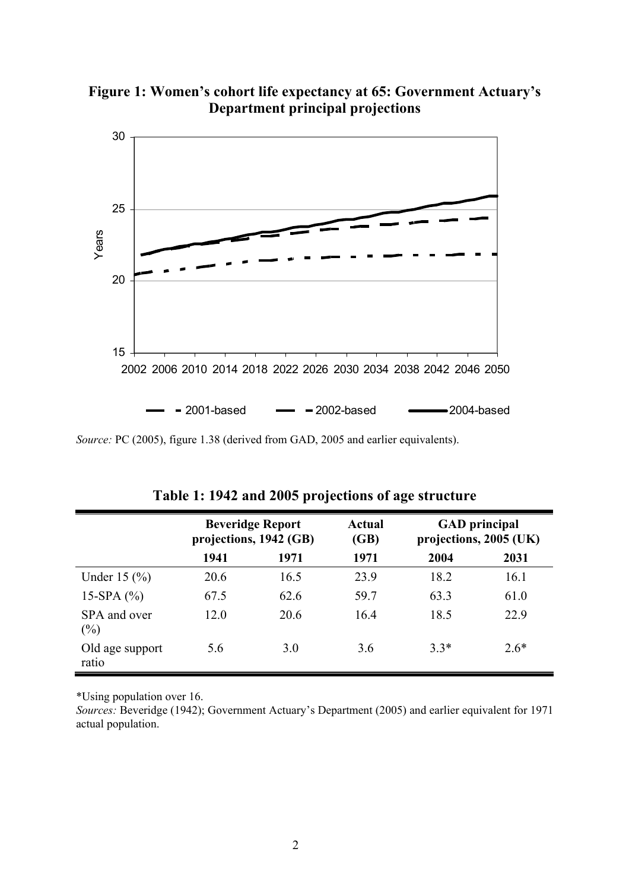**Figure 1: Women's cohort life expectancy at 65: Government Actuary's Department principal projections** 



*Source:* PC (2005), figure 1.38 (derived from GAD, 2005 and earlier equivalents).

|                             | <b>Beveridge Report</b><br>projections, 1942 (GB) |      | <b>Actual</b><br>(GB) | <b>GAD</b> principal<br>projections, 2005 (UK) |        |
|-----------------------------|---------------------------------------------------|------|-----------------------|------------------------------------------------|--------|
|                             | 1941                                              | 1971 | 1971                  | 2004                                           | 2031   |
| Under $15 \,$ $\frac{6}{6}$ | 20.6                                              | 16.5 | 23.9                  | 18.2                                           | 16.1   |
| 15-SPA $(%)$                | 67.5                                              | 62.6 | 59.7                  | 63.3                                           | 61.0   |
| SPA and over<br>$(\%)$      | 12.0                                              | 20.6 | 16.4                  | 18.5                                           | 22.9   |
| Old age support<br>ratio    | 5.6                                               | 3.0  | 3.6                   | $3.3*$                                         | $2.6*$ |

**Table 1: 1942 and 2005 projections of age structure** 

\*Using population over 16.

*Sources:* Beveridge (1942); Government Actuary's Department (2005) and earlier equivalent for 1971 actual population.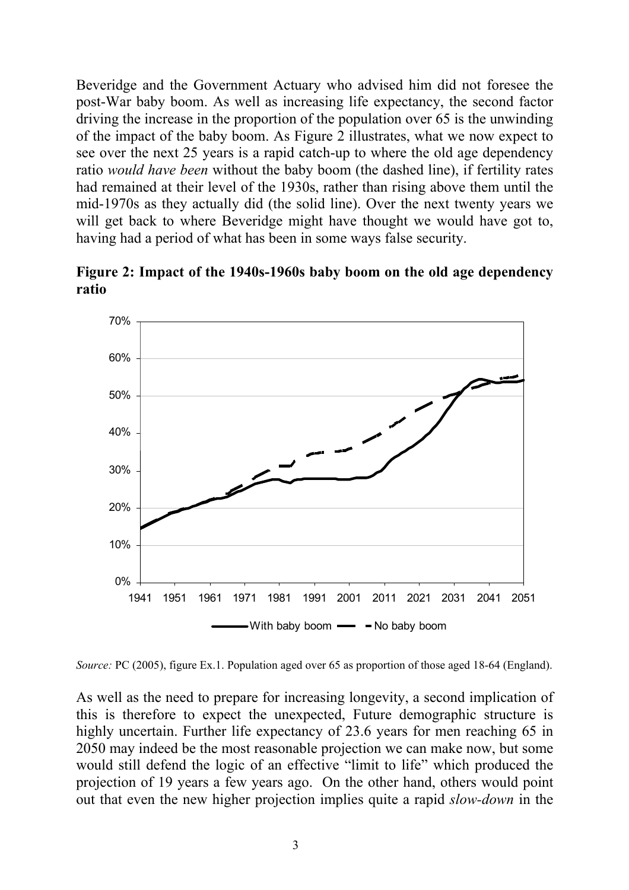Beveridge and the Government Actuary who advised him did not foresee the post-War baby boom. As well as increasing life expectancy, the second factor driving the increase in the proportion of the population over 65 is the unwinding of the impact of the baby boom. As Figure 2 illustrates, what we now expect to see over the next 25 years is a rapid catch-up to where the old age dependency ratio *would have been* without the baby boom (the dashed line), if fertility rates had remained at their level of the 1930s, rather than rising above them until the mid-1970s as they actually did (the solid line). Over the next twenty years we will get back to where Beveridge might have thought we would have got to, having had a period of what has been in some ways false security.



**Figure 2: Impact of the 1940s-1960s baby boom on the old age dependency ratio**

*Source:* PC (2005), figure Ex.1. Population aged over 65 as proportion of those aged 18-64 (England).

As well as the need to prepare for increasing longevity, a second implication of this is therefore to expect the unexpected, Future demographic structure is highly uncertain. Further life expectancy of 23.6 years for men reaching 65 in 2050 may indeed be the most reasonable projection we can make now, but some would still defend the logic of an effective "limit to life" which produced the projection of 19 years a few years ago. On the other hand, others would point out that even the new higher projection implies quite a rapid *slow-down* in the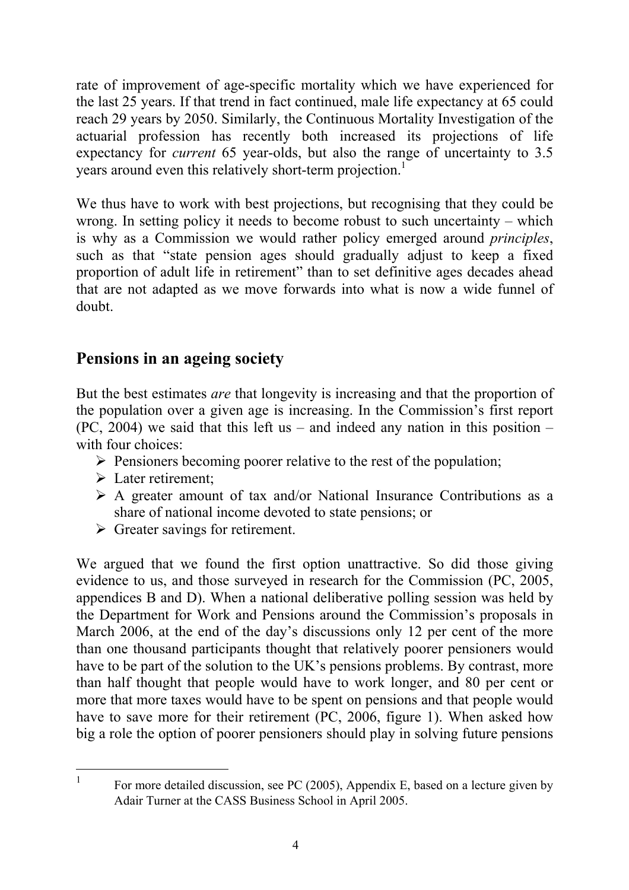rate of improvement of age-specific mortality which we have experienced for the last 25 years. If that trend in fact continued, male life expectancy at 65 could reach 29 years by 2050. Similarly, the Continuous Mortality Investigation of the actuarial profession has recently both increased its projections of life expectancy for *current* 65 year-olds, but also the range of uncertainty to 3.5 years around even this relatively short-term projection.<sup>1</sup>

We thus have to work with best projections, but recognising that they could be wrong. In setting policy it needs to become robust to such uncertainty – which is why as a Commission we would rather policy emerged around *principles*, such as that "state pension ages should gradually adjust to keep a fixed proportion of adult life in retirement" than to set definitive ages decades ahead that are not adapted as we move forwards into what is now a wide funnel of doubt.

## **Pensions in an ageing society**

But the best estimates *are* that longevity is increasing and that the proportion of the population over a given age is increasing. In the Commission's first report  $(PC, 2004)$  we said that this left us – and indeed any nation in this position – with four choices:

- $\triangleright$  Pensioners becoming poorer relative to the rest of the population;
- $\triangleright$  Later retirement;

 $\overline{a}$ 

- $\triangleright$  A greater amount of tax and/or National Insurance Contributions as a share of national income devoted to state pensions; or
- $\triangleright$  Greater savings for retirement.

We argued that we found the first option unattractive. So did those giving evidence to us, and those surveyed in research for the Commission (PC, 2005, appendices B and D). When a national deliberative polling session was held by the Department for Work and Pensions around the Commission's proposals in March 2006, at the end of the day's discussions only 12 per cent of the more than one thousand participants thought that relatively poorer pensioners would have to be part of the solution to the UK's pensions problems. By contrast, more than half thought that people would have to work longer, and 80 per cent or more that more taxes would have to be spent on pensions and that people would have to save more for their retirement (PC, 2006, figure 1). When asked how big a role the option of poorer pensioners should play in solving future pensions

<sup>1</sup> For more detailed discussion, see PC (2005), Appendix E, based on a lecture given by Adair Turner at the CASS Business School in April 2005.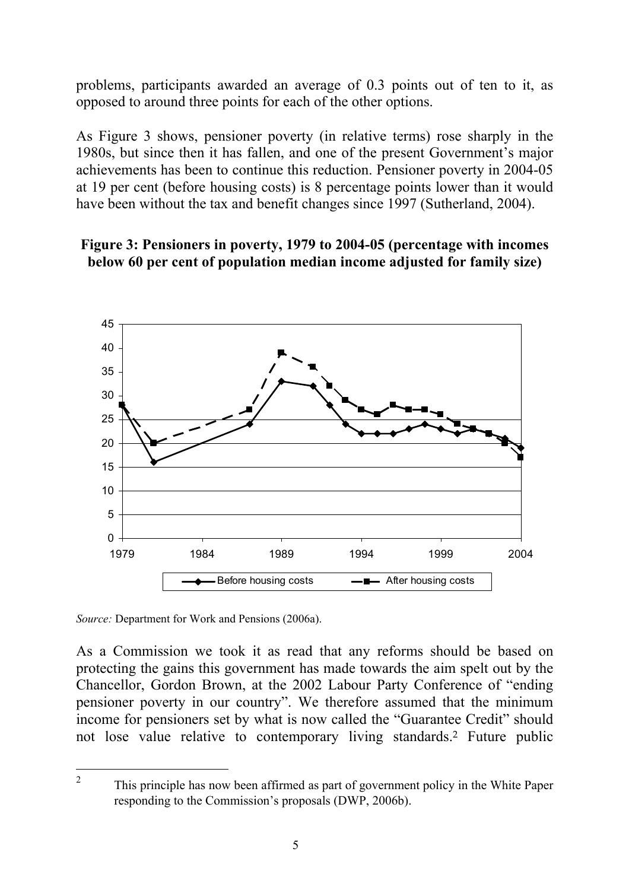problems, participants awarded an average of 0.3 points out of ten to it, as opposed to around three points for each of the other options.

As Figure 3 shows, pensioner poverty (in relative terms) rose sharply in the 1980s, but since then it has fallen, and one of the present Government's major achievements has been to continue this reduction. Pensioner poverty in 2004-05 at 19 per cent (before housing costs) is 8 percentage points lower than it would have been without the tax and benefit changes since 1997 (Sutherland, 2004).

#### **Figure 3: Pensioners in poverty, 1979 to 2004-05 (percentage with incomes below 60 per cent of population median income adjusted for family size)**



*Source:* Department for Work and Pensions (2006a).

 $\overline{a}$ 

As a Commission we took it as read that any reforms should be based on protecting the gains this government has made towards the aim spelt out by the Chancellor, Gordon Brown, at the 2002 Labour Party Conference of "ending pensioner poverty in our country". We therefore assumed that the minimum income for pensioners set by what is now called the "Guarantee Credit" should not lose value relative to contemporary living standards.2 Future public

<sup>2</sup> This principle has now been affirmed as part of government policy in the White Paper responding to the Commission's proposals (DWP, 2006b).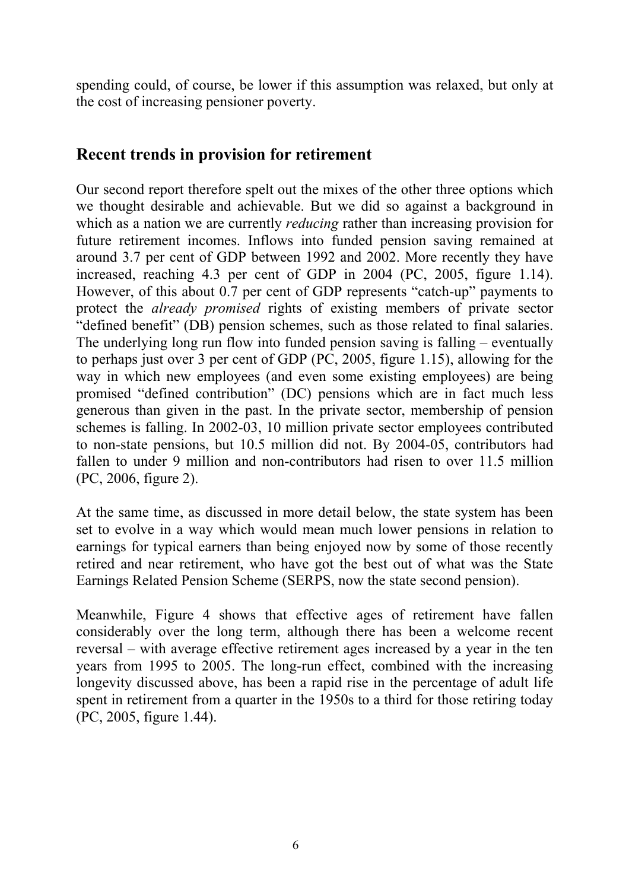spending could, of course, be lower if this assumption was relaxed, but only at the cost of increasing pensioner poverty.

## **Recent trends in provision for retirement**

Our second report therefore spelt out the mixes of the other three options which we thought desirable and achievable. But we did so against a background in which as a nation we are currently *reducing* rather than increasing provision for future retirement incomes. Inflows into funded pension saving remained at around 3.7 per cent of GDP between 1992 and 2002. More recently they have increased, reaching 4.3 per cent of GDP in 2004 (PC, 2005, figure 1.14). However, of this about 0.7 per cent of GDP represents "catch-up" payments to protect the *already promised* rights of existing members of private sector "defined benefit" (DB) pension schemes, such as those related to final salaries. The underlying long run flow into funded pension saving is falling – eventually to perhaps just over 3 per cent of GDP (PC, 2005, figure 1.15), allowing for the way in which new employees (and even some existing employees) are being promised "defined contribution" (DC) pensions which are in fact much less generous than given in the past. In the private sector, membership of pension schemes is falling. In 2002-03, 10 million private sector employees contributed to non-state pensions, but 10.5 million did not. By 2004-05, contributors had fallen to under 9 million and non-contributors had risen to over 11.5 million (PC, 2006, figure 2).

At the same time, as discussed in more detail below, the state system has been set to evolve in a way which would mean much lower pensions in relation to earnings for typical earners than being enjoyed now by some of those recently retired and near retirement, who have got the best out of what was the State Earnings Related Pension Scheme (SERPS, now the state second pension).

Meanwhile, Figure 4 shows that effective ages of retirement have fallen considerably over the long term, although there has been a welcome recent reversal – with average effective retirement ages increased by a year in the ten years from 1995 to 2005. The long-run effect, combined with the increasing longevity discussed above, has been a rapid rise in the percentage of adult life spent in retirement from a quarter in the 1950s to a third for those retiring today (PC, 2005, figure 1.44).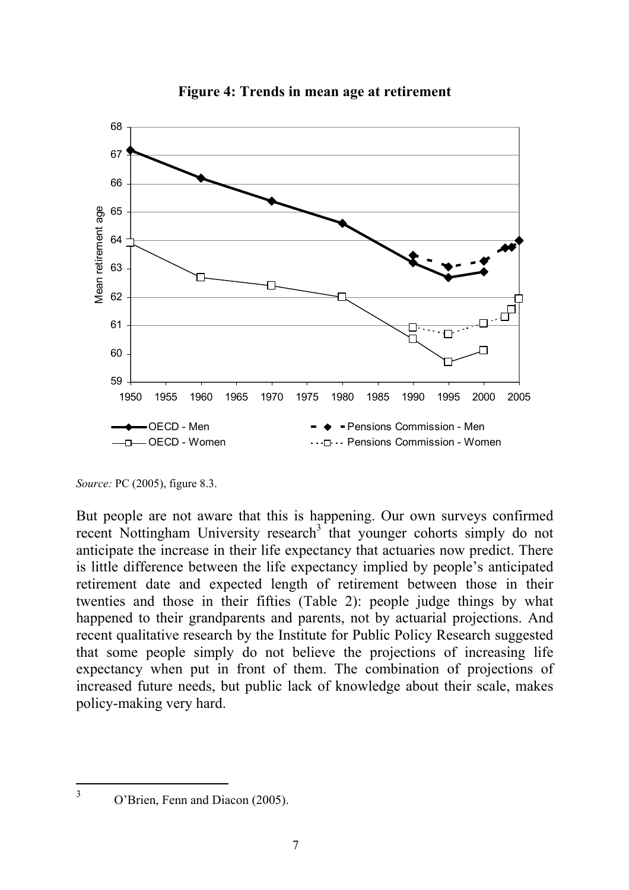

**Figure 4: Trends in mean age at retirement** 

*Source:* PC (2005), figure 8.3.

But people are not aware that this is happening. Our own surveys confirmed recent Nottingham University research<sup>3</sup> that younger cohorts simply do not anticipate the increase in their life expectancy that actuaries now predict. There is little difference between the life expectancy implied by people's anticipated retirement date and expected length of retirement between those in their twenties and those in their fifties (Table 2): people judge things by what happened to their grandparents and parents, not by actuarial projections. And recent qualitative research by the Institute for Public Policy Research suggested that some people simply do not believe the projections of increasing life expectancy when put in front of them. The combination of projections of increased future needs, but public lack of knowledge about their scale, makes policy-making very hard.

 $\overline{a}$ 3

O'Brien, Fenn and Diacon (2005).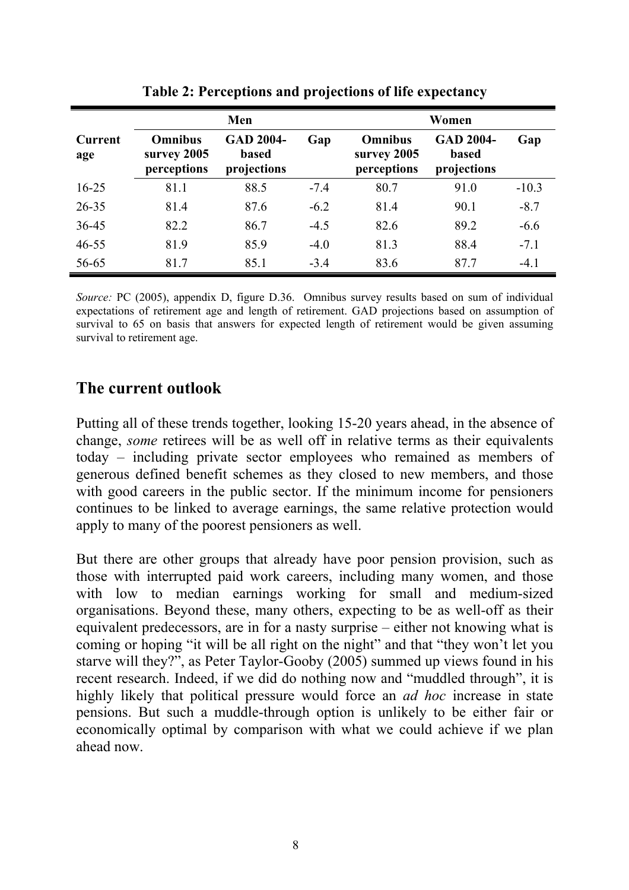|                       | Men                                          |                                                 |        | Women                                        |                                                 |         |  |
|-----------------------|----------------------------------------------|-------------------------------------------------|--------|----------------------------------------------|-------------------------------------------------|---------|--|
| <b>Current</b><br>age | <b>Omnibus</b><br>survey 2005<br>perceptions | <b>GAD 2004-</b><br><b>based</b><br>projections | Gap    | <b>Omnibus</b><br>survey 2005<br>perceptions | <b>GAD 2004-</b><br><b>based</b><br>projections | Gap     |  |
| $16 - 25$             | 81.1                                         | 88.5                                            | $-7.4$ | 80.7                                         | 91.0                                            | $-10.3$ |  |
| $26 - 35$             | 81.4                                         | 87.6                                            | $-6.2$ | 81.4                                         | 90.1                                            | $-8.7$  |  |
| 36-45                 | 82.2                                         | 86.7                                            | $-4.5$ | 82.6                                         | 89.2                                            | $-6.6$  |  |
| $46 - 55$             | 81.9                                         | 85.9                                            | $-4.0$ | 81.3                                         | 88.4                                            | $-7.1$  |  |
| 56-65                 | 81.7                                         | 85.1                                            | $-3.4$ | 83.6                                         | 87.7                                            | $-4.1$  |  |

**Table 2: Perceptions and projections of life expectancy** 

*Source:* PC (2005), appendix D, figure D.36. Omnibus survey results based on sum of individual expectations of retirement age and length of retirement. GAD projections based on assumption of survival to 65 on basis that answers for expected length of retirement would be given assuming survival to retirement age.

#### **The current outlook**

Putting all of these trends together, looking 15-20 years ahead, in the absence of change, *some* retirees will be as well off in relative terms as their equivalents today – including private sector employees who remained as members of generous defined benefit schemes as they closed to new members, and those with good careers in the public sector. If the minimum income for pensioners continues to be linked to average earnings, the same relative protection would apply to many of the poorest pensioners as well.

But there are other groups that already have poor pension provision, such as those with interrupted paid work careers, including many women, and those with low to median earnings working for small and medium-sized organisations. Beyond these, many others, expecting to be as well-off as their equivalent predecessors, are in for a nasty surprise – either not knowing what is coming or hoping "it will be all right on the night" and that "they won't let you starve will they?", as Peter Taylor-Gooby (2005) summed up views found in his recent research. Indeed, if we did do nothing now and "muddled through", it is highly likely that political pressure would force an *ad hoc* increase in state pensions. But such a muddle-through option is unlikely to be either fair or economically optimal by comparison with what we could achieve if we plan ahead now.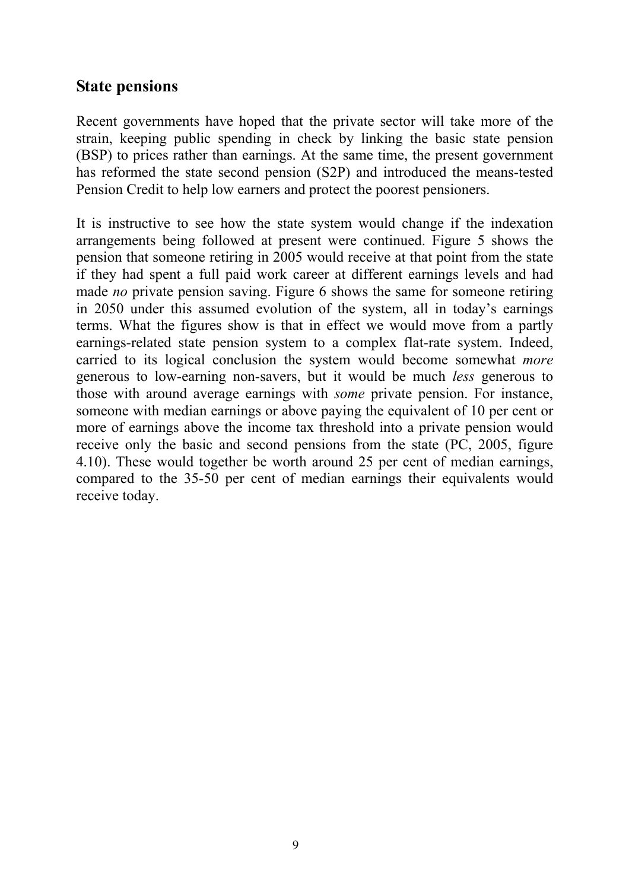#### **State pensions**

Recent governments have hoped that the private sector will take more of the strain, keeping public spending in check by linking the basic state pension (BSP) to prices rather than earnings. At the same time, the present government has reformed the state second pension (S2P) and introduced the means-tested Pension Credit to help low earners and protect the poorest pensioners.

It is instructive to see how the state system would change if the indexation arrangements being followed at present were continued. Figure 5 shows the pension that someone retiring in 2005 would receive at that point from the state if they had spent a full paid work career at different earnings levels and had made *no* private pension saving. Figure 6 shows the same for someone retiring in 2050 under this assumed evolution of the system, all in today's earnings terms. What the figures show is that in effect we would move from a partly earnings-related state pension system to a complex flat-rate system. Indeed, carried to its logical conclusion the system would become somewhat *more* generous to low-earning non-savers, but it would be much *less* generous to those with around average earnings with *some* private pension. For instance, someone with median earnings or above paying the equivalent of 10 per cent or more of earnings above the income tax threshold into a private pension would receive only the basic and second pensions from the state (PC, 2005, figure 4.10). These would together be worth around 25 per cent of median earnings, compared to the 35-50 per cent of median earnings their equivalents would receive today.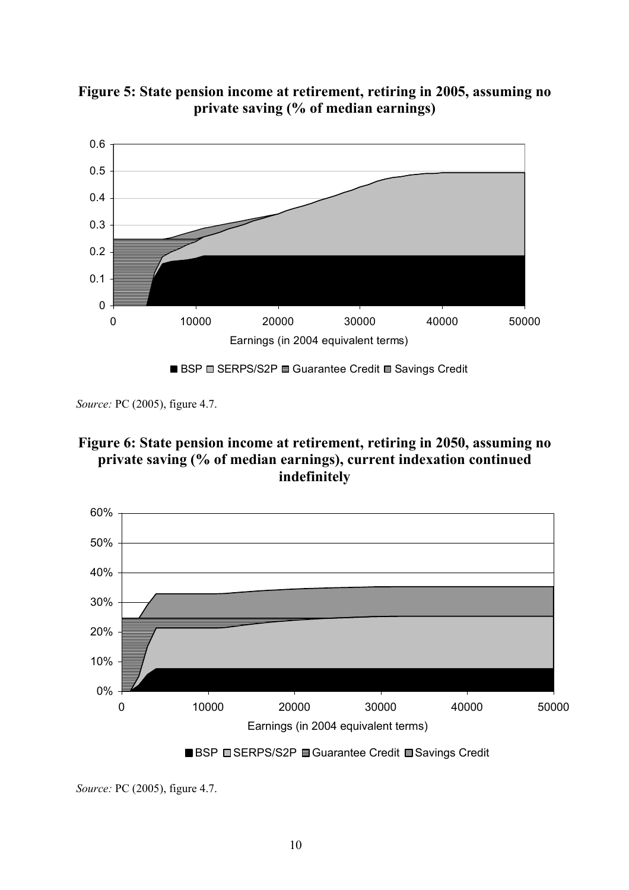



*Source:* PC (2005), figure 4.7.







*Source:* PC (2005), figure 4.7.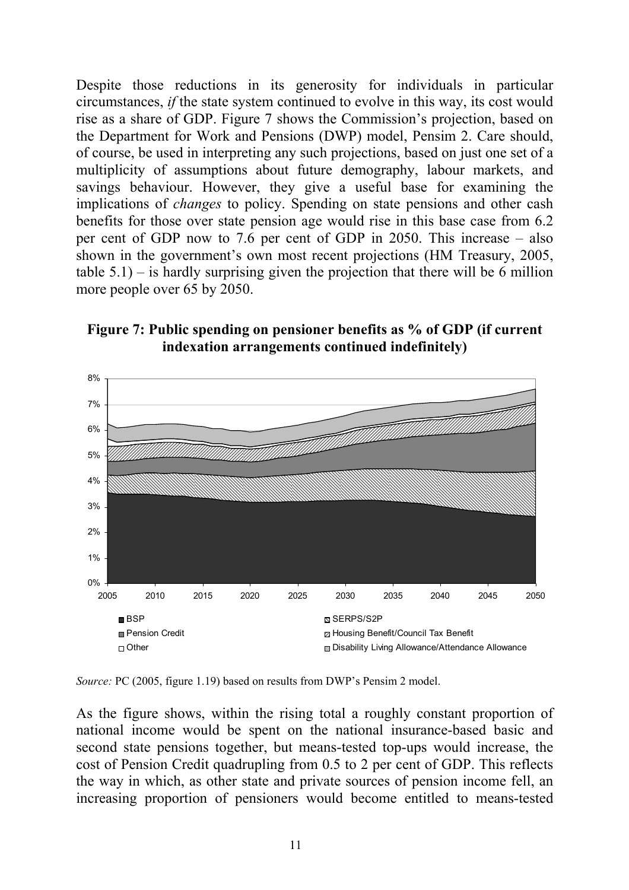Despite those reductions in its generosity for individuals in particular circumstances, *if* the state system continued to evolve in this way, its cost would rise as a share of GDP. Figure 7 shows the Commission's projection, based on the Department for Work and Pensions (DWP) model, Pensim 2. Care should, of course, be used in interpreting any such projections, based on just one set of a multiplicity of assumptions about future demography, labour markets, and savings behaviour. However, they give a useful base for examining the implications of *changes* to policy. Spending on state pensions and other cash benefits for those over state pension age would rise in this base case from 6.2 per cent of GDP now to 7.6 per cent of GDP in 2050. This increase – also shown in the government's own most recent projections (HM Treasury, 2005, table  $5.1$ ) – is hardly surprising given the projection that there will be 6 million more people over 65 by 2050.





*Source:* PC (2005, figure 1.19) based on results from DWP's Pensim 2 model.

As the figure shows, within the rising total a roughly constant proportion of national income would be spent on the national insurance-based basic and second state pensions together, but means-tested top-ups would increase, the cost of Pension Credit quadrupling from 0.5 to 2 per cent of GDP. This reflects the way in which, as other state and private sources of pension income fell, an increasing proportion of pensioners would become entitled to means-tested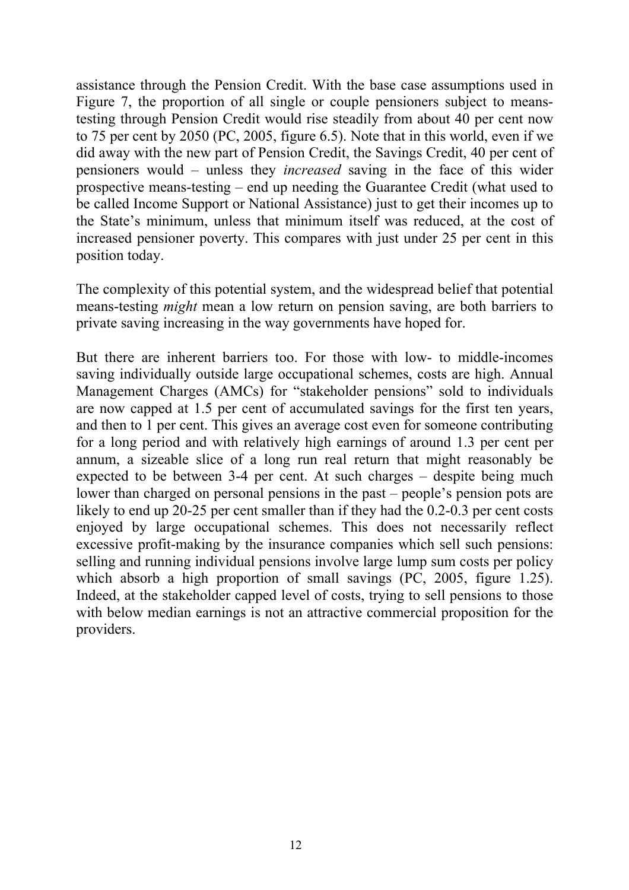assistance through the Pension Credit. With the base case assumptions used in Figure 7, the proportion of all single or couple pensioners subject to meanstesting through Pension Credit would rise steadily from about 40 per cent now to 75 per cent by 2050 (PC, 2005, figure 6.5). Note that in this world, even if we did away with the new part of Pension Credit, the Savings Credit, 40 per cent of pensioners would – unless they *increased* saving in the face of this wider prospective means-testing – end up needing the Guarantee Credit (what used to be called Income Support or National Assistance) just to get their incomes up to the State's minimum, unless that minimum itself was reduced, at the cost of increased pensioner poverty. This compares with just under 25 per cent in this position today.

The complexity of this potential system, and the widespread belief that potential means-testing *might* mean a low return on pension saving, are both barriers to private saving increasing in the way governments have hoped for.

But there are inherent barriers too. For those with low- to middle-incomes saving individually outside large occupational schemes, costs are high. Annual Management Charges (AMCs) for "stakeholder pensions" sold to individuals are now capped at 1.5 per cent of accumulated savings for the first ten years, and then to 1 per cent. This gives an average cost even for someone contributing for a long period and with relatively high earnings of around 1.3 per cent per annum, a sizeable slice of a long run real return that might reasonably be expected to be between 3-4 per cent. At such charges – despite being much lower than charged on personal pensions in the past – people's pension pots are likely to end up 20-25 per cent smaller than if they had the 0.2-0.3 per cent costs enjoyed by large occupational schemes. This does not necessarily reflect excessive profit-making by the insurance companies which sell such pensions: selling and running individual pensions involve large lump sum costs per policy which absorb a high proportion of small savings (PC, 2005, figure 1.25). Indeed, at the stakeholder capped level of costs, trying to sell pensions to those with below median earnings is not an attractive commercial proposition for the providers.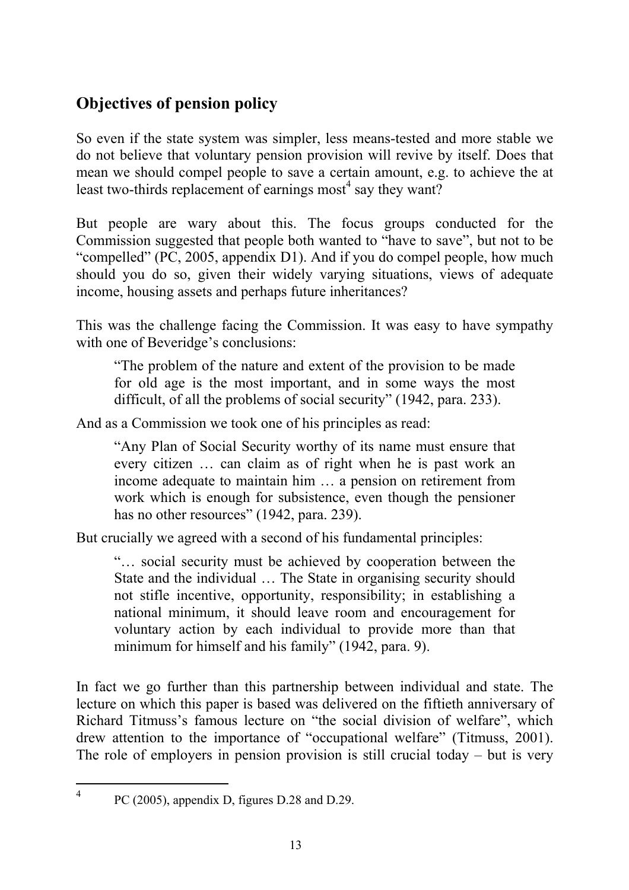# **Objectives of pension policy**

So even if the state system was simpler, less means-tested and more stable we do not believe that voluntary pension provision will revive by itself. Does that mean we should compel people to save a certain amount, e.g. to achieve the at least two-thirds replacement of earnings most<sup>4</sup> say they want?

But people are wary about this. The focus groups conducted for the Commission suggested that people both wanted to "have to save", but not to be "compelled" (PC, 2005, appendix D1). And if you do compel people, how much should you do so, given their widely varying situations, views of adequate income, housing assets and perhaps future inheritances?

This was the challenge facing the Commission. It was easy to have sympathy with one of Beveridge's conclusions:

"The problem of the nature and extent of the provision to be made for old age is the most important, and in some ways the most difficult, of all the problems of social security" (1942, para. 233).

And as a Commission we took one of his principles as read:

"Any Plan of Social Security worthy of its name must ensure that every citizen … can claim as of right when he is past work an income adequate to maintain him … a pension on retirement from work which is enough for subsistence, even though the pensioner has no other resources" (1942, para. 239).

But crucially we agreed with a second of his fundamental principles:

"… social security must be achieved by cooperation between the State and the individual … The State in organising security should not stifle incentive, opportunity, responsibility; in establishing a national minimum, it should leave room and encouragement for voluntary action by each individual to provide more than that minimum for himself and his family" (1942, para. 9).

In fact we go further than this partnership between individual and state. The lecture on which this paper is based was delivered on the fiftieth anniversary of Richard Titmuss's famous lecture on "the social division of welfare", which drew attention to the importance of "occupational welfare" (Titmuss, 2001). The role of employers in pension provision is still crucial today – but is very

 $\overline{a}$ 4

PC (2005), appendix D, figures D.28 and D.29.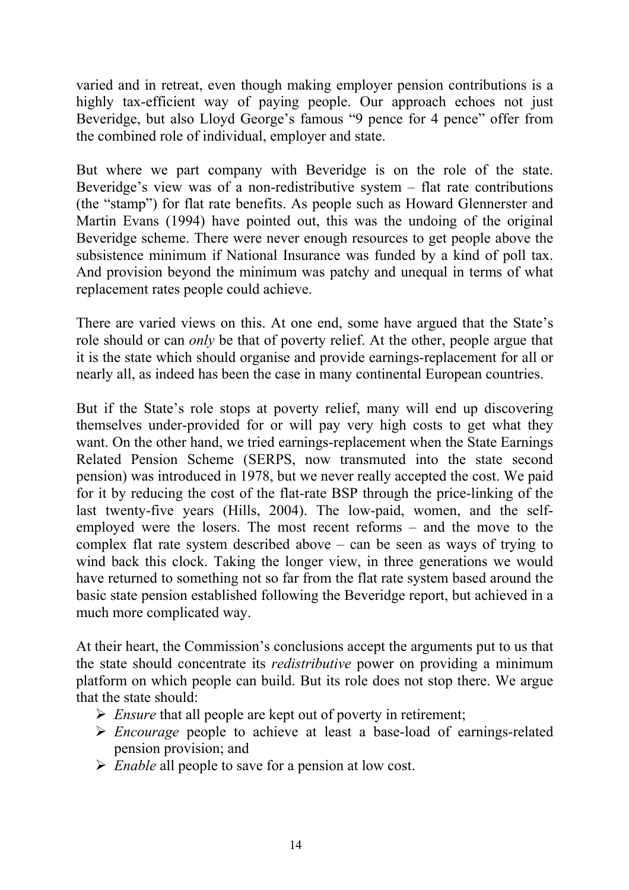varied and in retreat, even though making employer pension contributions is a highly tax-efficient way of paying people. Our approach echoes not just Beveridge, but also Lloyd George's famous "9 pence for 4 pence" offer from the combined role of individual, employer and state.

But where we part company with Beveridge is on the role of the state. Beveridge's view was of a non-redistributive system – flat rate contributions (the "stamp") for flat rate benefits. As people such as Howard Glennerster and Martin Evans (1994) have pointed out, this was the undoing of the original Beveridge scheme. There were never enough resources to get people above the subsistence minimum if National Insurance was funded by a kind of poll tax. And provision beyond the minimum was patchy and unequal in terms of what replacement rates people could achieve.

There are varied views on this. At one end, some have argued that the State's role should or can *only* be that of poverty relief. At the other, people argue that it is the state which should organise and provide earnings-replacement for all or nearly all, as indeed has been the case in many continental European countries.

But if the State's role stops at poverty relief, many will end up discovering themselves under-provided for or will pay very high costs to get what they want. On the other hand, we tried earnings-replacement when the State Earnings Related Pension Scheme (SERPS, now transmuted into the state second pension) was introduced in 1978, but we never really accepted the cost. We paid for it by reducing the cost of the flat-rate BSP through the price-linking of the last twenty-five years (Hills, 2004). The low-paid, women, and the selfemployed were the losers. The most recent reforms – and the move to the complex flat rate system described above – can be seen as ways of trying to wind back this clock. Taking the longer view, in three generations we would have returned to something not so far from the flat rate system based around the basic state pension established following the Beveridge report, but achieved in a much more complicated way.

At their heart, the Commission's conclusions accept the arguments put to us that the state should concentrate its *redistributive* power on providing a minimum platform on which people can build. But its role does not stop there. We argue that the state should:

- ¾ *Ensure* that all people are kept out of poverty in retirement;
- ¾ *Encourage* people to achieve at least a base-load of earnings-related pension provision; and
- ¾ *Enable* all people to save for a pension at low cost.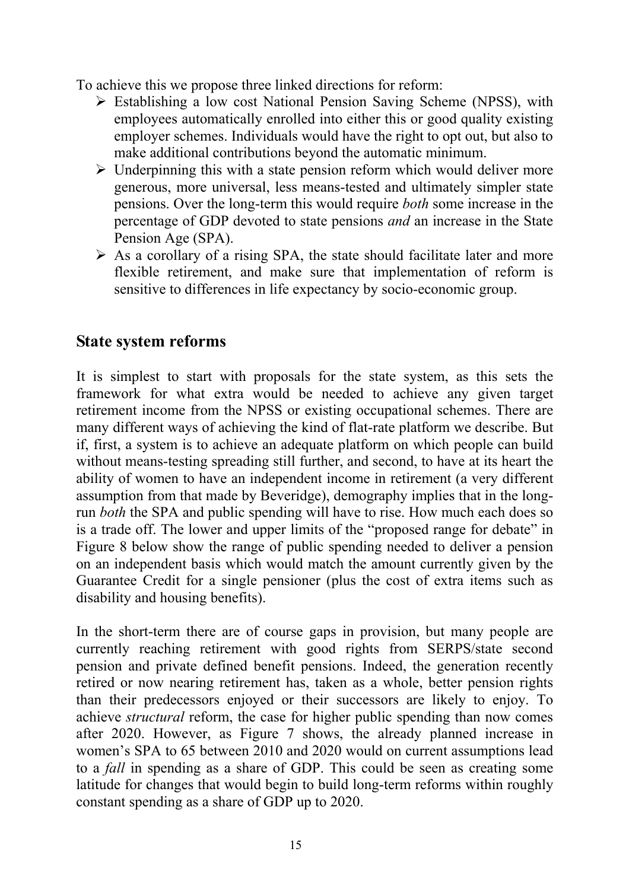To achieve this we propose three linked directions for reform:

- ¾ Establishing a low cost National Pension Saving Scheme (NPSS), with employees automatically enrolled into either this or good quality existing employer schemes. Individuals would have the right to opt out, but also to make additional contributions beyond the automatic minimum.
- $\triangleright$  Underpinning this with a state pension reform which would deliver more generous, more universal, less means-tested and ultimately simpler state pensions. Over the long-term this would require *both* some increase in the percentage of GDP devoted to state pensions *and* an increase in the State Pension Age (SPA).
- $\triangleright$  As a corollary of a rising SPA, the state should facilitate later and more flexible retirement, and make sure that implementation of reform is sensitive to differences in life expectancy by socio-economic group.

#### **State system reforms**

It is simplest to start with proposals for the state system, as this sets the framework for what extra would be needed to achieve any given target retirement income from the NPSS or existing occupational schemes. There are many different ways of achieving the kind of flat-rate platform we describe. But if, first, a system is to achieve an adequate platform on which people can build without means-testing spreading still further, and second, to have at its heart the ability of women to have an independent income in retirement (a very different assumption from that made by Beveridge), demography implies that in the longrun *both* the SPA and public spending will have to rise. How much each does so is a trade off. The lower and upper limits of the "proposed range for debate" in Figure 8 below show the range of public spending needed to deliver a pension on an independent basis which would match the amount currently given by the Guarantee Credit for a single pensioner (plus the cost of extra items such as disability and housing benefits).

In the short-term there are of course gaps in provision, but many people are currently reaching retirement with good rights from SERPS/state second pension and private defined benefit pensions. Indeed, the generation recently retired or now nearing retirement has, taken as a whole, better pension rights than their predecessors enjoyed or their successors are likely to enjoy. To achieve *structural* reform, the case for higher public spending than now comes after 2020. However, as Figure 7 shows, the already planned increase in women's SPA to 65 between 2010 and 2020 would on current assumptions lead to a *fall* in spending as a share of GDP. This could be seen as creating some latitude for changes that would begin to build long-term reforms within roughly constant spending as a share of GDP up to 2020.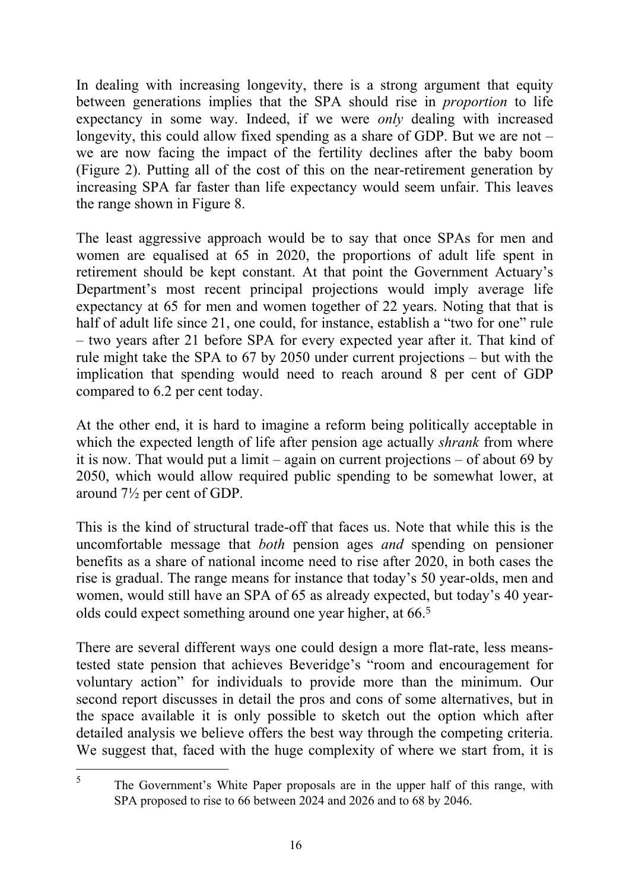In dealing with increasing longevity, there is a strong argument that equity between generations implies that the SPA should rise in *proportion* to life expectancy in some way. Indeed, if we were *only* dealing with increased longevity, this could allow fixed spending as a share of GDP. But we are not – we are now facing the impact of the fertility declines after the baby boom (Figure 2). Putting all of the cost of this on the near-retirement generation by increasing SPA far faster than life expectancy would seem unfair. This leaves the range shown in Figure 8.

The least aggressive approach would be to say that once SPAs for men and women are equalised at 65 in 2020, the proportions of adult life spent in retirement should be kept constant. At that point the Government Actuary's Department's most recent principal projections would imply average life expectancy at 65 for men and women together of 22 years. Noting that that is half of adult life since 21, one could, for instance, establish a "two for one" rule – two years after 21 before SPA for every expected year after it. That kind of rule might take the SPA to 67 by 2050 under current projections – but with the implication that spending would need to reach around 8 per cent of GDP compared to 6.2 per cent today.

At the other end, it is hard to imagine a reform being politically acceptable in which the expected length of life after pension age actually *shrank* from where it is now. That would put a limit – again on current projections – of about 69 by 2050, which would allow required public spending to be somewhat lower, at around 7½ per cent of GDP.

This is the kind of structural trade-off that faces us. Note that while this is the uncomfortable message that *both* pension ages *and* spending on pensioner benefits as a share of national income need to rise after 2020, in both cases the rise is gradual. The range means for instance that today's 50 year-olds, men and women, would still have an SPA of 65 as already expected, but today's 40 yearolds could expect something around one year higher, at 66.<sup>5</sup>

There are several different ways one could design a more flat-rate, less meanstested state pension that achieves Beveridge's "room and encouragement for voluntary action" for individuals to provide more than the minimum. Our second report discusses in detail the pros and cons of some alternatives, but in the space available it is only possible to sketch out the option which after detailed analysis we believe offers the best way through the competing criteria. We suggest that, faced with the huge complexity of where we start from, it is

 $\overline{a}$ 

<sup>5</sup> The Government's White Paper proposals are in the upper half of this range, with SPA proposed to rise to 66 between 2024 and 2026 and to 68 by 2046.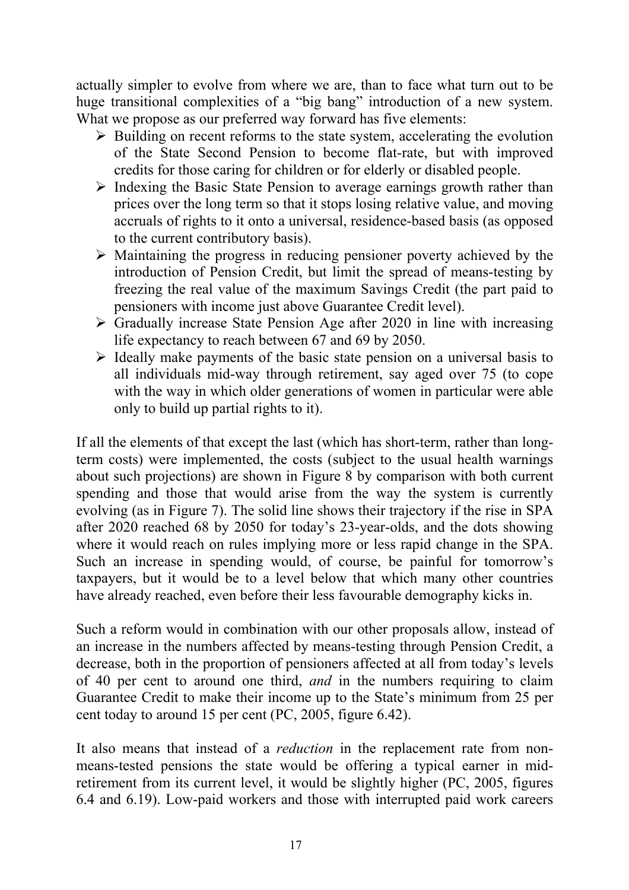actually simpler to evolve from where we are, than to face what turn out to be huge transitional complexities of a "big bang" introduction of a new system. What we propose as our preferred way forward has five elements:

- $\triangleright$  Building on recent reforms to the state system, accelerating the evolution of the State Second Pension to become flat-rate, but with improved credits for those caring for children or for elderly or disabled people.
- $\triangleright$  Indexing the Basic State Pension to average earnings growth rather than prices over the long term so that it stops losing relative value, and moving accruals of rights to it onto a universal, residence-based basis (as opposed to the current contributory basis).
- $\triangleright$  Maintaining the progress in reducing pensioner poverty achieved by the introduction of Pension Credit, but limit the spread of means-testing by freezing the real value of the maximum Savings Credit (the part paid to pensioners with income just above Guarantee Credit level).
- $\triangleright$  Gradually increase State Pension Age after 2020 in line with increasing life expectancy to reach between 67 and 69 by 2050.
- $\triangleright$  Ideally make payments of the basic state pension on a universal basis to all individuals mid-way through retirement, say aged over 75 (to cope with the way in which older generations of women in particular were able only to build up partial rights to it).

If all the elements of that except the last (which has short-term, rather than longterm costs) were implemented, the costs (subject to the usual health warnings about such projections) are shown in Figure 8 by comparison with both current spending and those that would arise from the way the system is currently evolving (as in Figure 7). The solid line shows their trajectory if the rise in SPA after 2020 reached 68 by 2050 for today's 23-year-olds, and the dots showing where it would reach on rules implying more or less rapid change in the SPA. Such an increase in spending would, of course, be painful for tomorrow's taxpayers, but it would be to a level below that which many other countries have already reached, even before their less favourable demography kicks in.

Such a reform would in combination with our other proposals allow, instead of an increase in the numbers affected by means-testing through Pension Credit, a decrease, both in the proportion of pensioners affected at all from today's levels of 40 per cent to around one third, *and* in the numbers requiring to claim Guarantee Credit to make their income up to the State's minimum from 25 per cent today to around 15 per cent (PC, 2005, figure 6.42).

It also means that instead of a *reduction* in the replacement rate from nonmeans-tested pensions the state would be offering a typical earner in midretirement from its current level, it would be slightly higher (PC, 2005, figures 6.4 and 6.19). Low-paid workers and those with interrupted paid work careers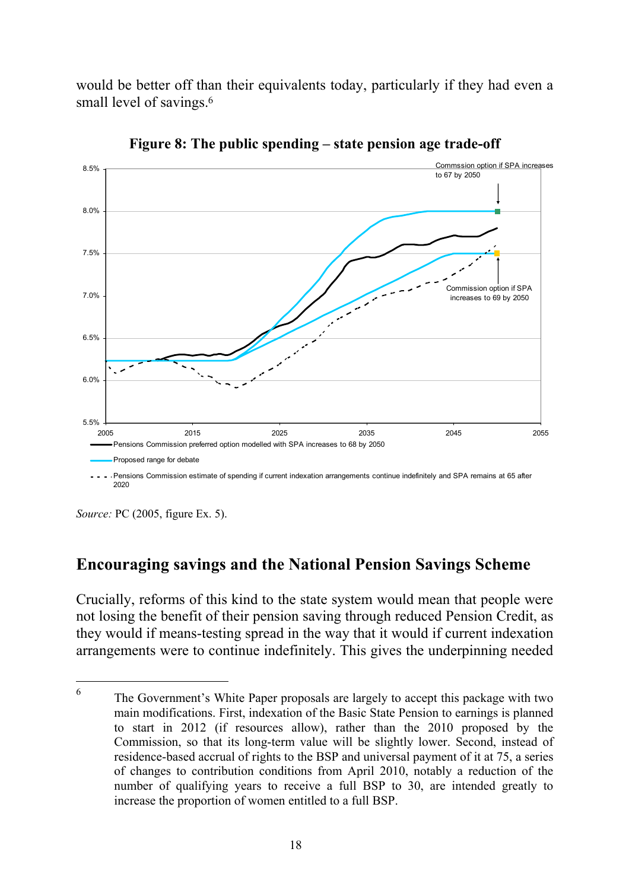would be better off than their equivalents today, particularly if they had even a small level of savings.<sup>6</sup>



**Figure 8: The public spending – state pension age trade-off** 

*Source:* PC (2005, figure Ex. 5).

2020

l

## **Encouraging savings and the National Pension Savings Scheme**

Crucially, reforms of this kind to the state system would mean that people were not losing the benefit of their pension saving through reduced Pension Credit, as they would if means-testing spread in the way that it would if current indexation arrangements were to continue indefinitely. This gives the underpinning needed

<sup>6</sup> The Government's White Paper proposals are largely to accept this package with two main modifications. First, indexation of the Basic State Pension to earnings is planned to start in 2012 (if resources allow), rather than the 2010 proposed by the Commission, so that its long-term value will be slightly lower. Second, instead of residence-based accrual of rights to the BSP and universal payment of it at 75, a series of changes to contribution conditions from April 2010, notably a reduction of the number of qualifying years to receive a full BSP to 30, are intended greatly to increase the proportion of women entitled to a full BSP.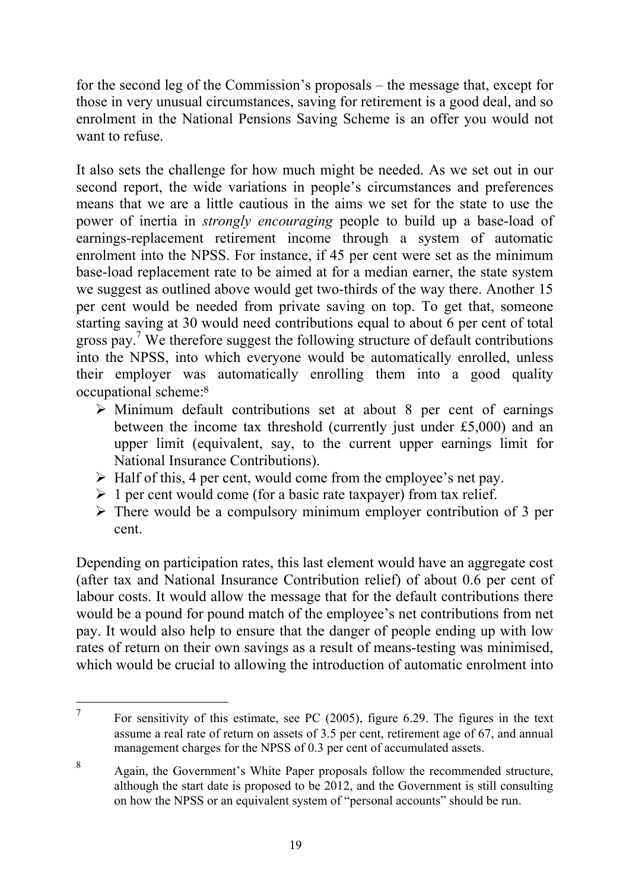for the second leg of the Commission's proposals – the message that, except for those in very unusual circumstances, saving for retirement is a good deal, and so enrolment in the National Pensions Saving Scheme is an offer you would not want to refuse.

It also sets the challenge for how much might be needed. As we set out in our second report, the wide variations in people's circumstances and preferences means that we are a little cautious in the aims we set for the state to use the power of inertia in *strongly encouraging* people to build up a base-load of earnings-replacement retirement income through a system of automatic enrolment into the NPSS. For instance, if 45 per cent were set as the minimum base-load replacement rate to be aimed at for a median earner, the state system we suggest as outlined above would get two-thirds of the way there. Another 15 per cent would be needed from private saving on top. To get that, someone starting saving at 30 would need contributions equal to about 6 per cent of total gross pay.7 We therefore suggest the following structure of default contributions into the NPSS, into which everyone would be automatically enrolled, unless their employer was automatically enrolling them into a good quality occupational scheme:<sup>8</sup>

- $\triangleright$  Minimum default contributions set at about 8 per cent of earnings between the income tax threshold (currently just under £5,000) and an upper limit (equivalent, say, to the current upper earnings limit for National Insurance Contributions).
- $\triangleright$  Half of this, 4 per cent, would come from the employee's net pay.
- $\geq 1$  per cent would come (for a basic rate taxpayer) from tax relief.
- $\triangleright$  There would be a compulsory minimum employer contribution of 3 per cent.

Depending on participation rates, this last element would have an aggregate cost (after tax and National Insurance Contribution relief) of about 0.6 per cent of labour costs. It would allow the message that for the default contributions there would be a pound for pound match of the employee's net contributions from net pay. It would also help to ensure that the danger of people ending up with low rates of return on their own savings as a result of means-testing was minimised, which would be crucial to allowing the introduction of automatic enrolment into

 $\overline{a}$ 

<sup>7</sup> For sensitivity of this estimate, see PC (2005), figure 6.29. The figures in the text assume a real rate of return on assets of 3.5 per cent, retirement age of 67, and annual management charges for the NPSS of 0.3 per cent of accumulated assets.

<sup>8</sup> Again, the Government's White Paper proposals follow the recommended structure, although the start date is proposed to be 2012, and the Government is still consulting on how the NPSS or an equivalent system of "personal accounts" should be run.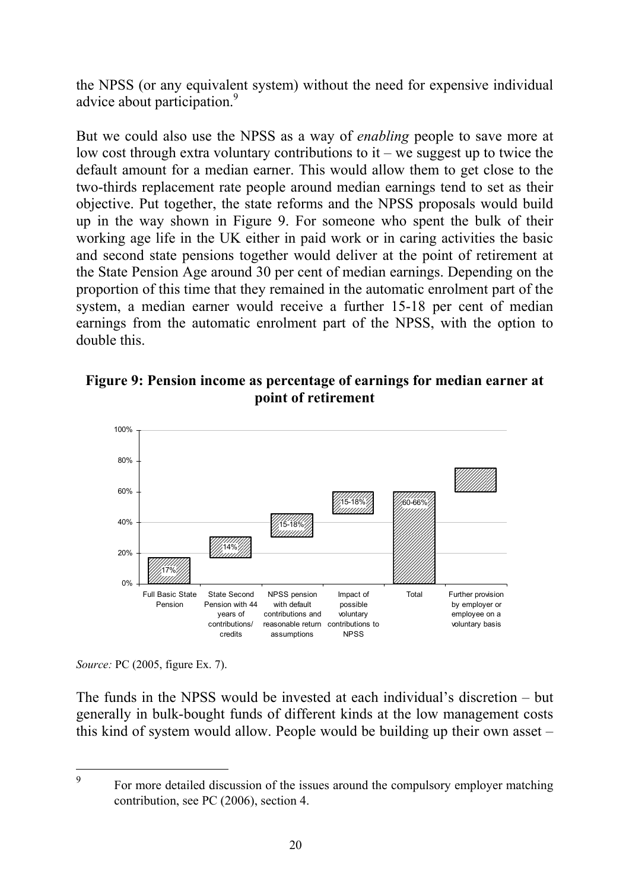the NPSS (or any equivalent system) without the need for expensive individual advice about participation.<sup>9</sup>

But we could also use the NPSS as a way of *enabling* people to save more at low cost through extra voluntary contributions to  $it$  – we suggest up to twice the default amount for a median earner. This would allow them to get close to the two-thirds replacement rate people around median earnings tend to set as their objective. Put together, the state reforms and the NPSS proposals would build up in the way shown in Figure 9. For someone who spent the bulk of their working age life in the UK either in paid work or in caring activities the basic and second state pensions together would deliver at the point of retirement at the State Pension Age around 30 per cent of median earnings. Depending on the proportion of this time that they remained in the automatic enrolment part of the system, a median earner would receive a further 15-18 per cent of median earnings from the automatic enrolment part of the NPSS, with the option to double this.





*Source:* PC (2005, figure Ex. 7).

 $\overline{a}$ 

The funds in the NPSS would be invested at each individual's discretion – but generally in bulk-bought funds of different kinds at the low management costs this kind of system would allow. People would be building up their own asset –

<sup>9</sup> For more detailed discussion of the issues around the compulsory employer matching contribution, see PC (2006), section 4.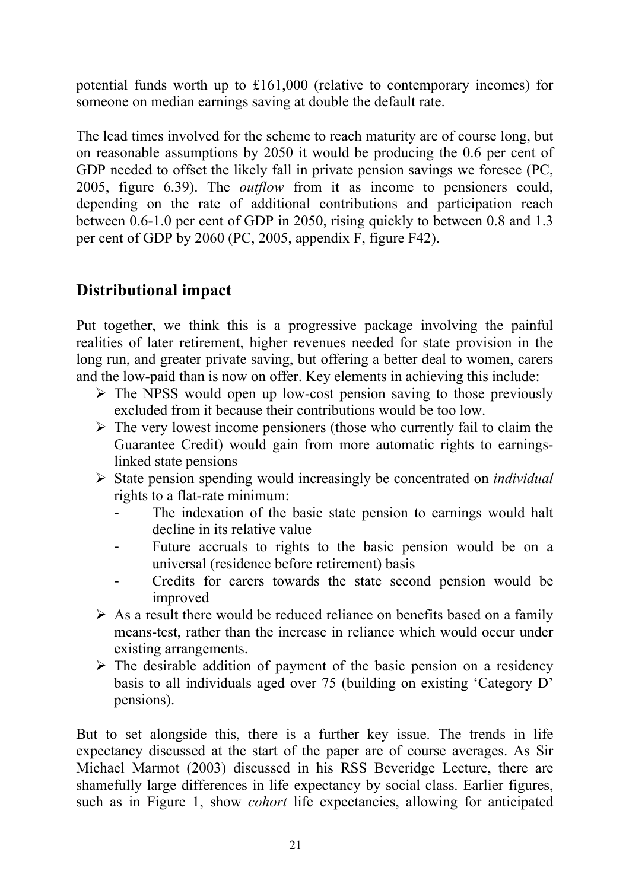potential funds worth up to £161,000 (relative to contemporary incomes) for someone on median earnings saving at double the default rate.

The lead times involved for the scheme to reach maturity are of course long, but on reasonable assumptions by 2050 it would be producing the 0.6 per cent of GDP needed to offset the likely fall in private pension savings we foresee (PC, 2005, figure 6.39). The *outflow* from it as income to pensioners could, depending on the rate of additional contributions and participation reach between 0.6-1.0 per cent of GDP in 2050, rising quickly to between 0.8 and 1.3 per cent of GDP by 2060 (PC, 2005, appendix F, figure F42).

## **Distributional impact**

Put together, we think this is a progressive package involving the painful realities of later retirement, higher revenues needed for state provision in the long run, and greater private saving, but offering a better deal to women, carers and the low-paid than is now on offer. Key elements in achieving this include:

- $\triangleright$  The NPSS would open up low-cost pension saving to those previously excluded from it because their contributions would be too low.
- $\triangleright$  The very lowest income pensioners (those who currently fail to claim the Guarantee Credit) would gain from more automatic rights to earningslinked state pensions
- ¾ State pension spending would increasingly be concentrated on *individual* rights to a flat-rate minimum:
	- The indexation of the basic state pension to earnings would halt decline in its relative value
	- Future accruals to rights to the basic pension would be on a universal (residence before retirement) basis
	- Credits for carers towards the state second pension would be improved
- $\triangleright$  As a result there would be reduced reliance on benefits based on a family means-test, rather than the increase in reliance which would occur under existing arrangements.
- $\triangleright$  The desirable addition of payment of the basic pension on a residency basis to all individuals aged over 75 (building on existing 'Category D' pensions).

But to set alongside this, there is a further key issue. The trends in life expectancy discussed at the start of the paper are of course averages. As Sir Michael Marmot (2003) discussed in his RSS Beveridge Lecture, there are shamefully large differences in life expectancy by social class. Earlier figures, such as in Figure 1, show *cohort* life expectancies, allowing for anticipated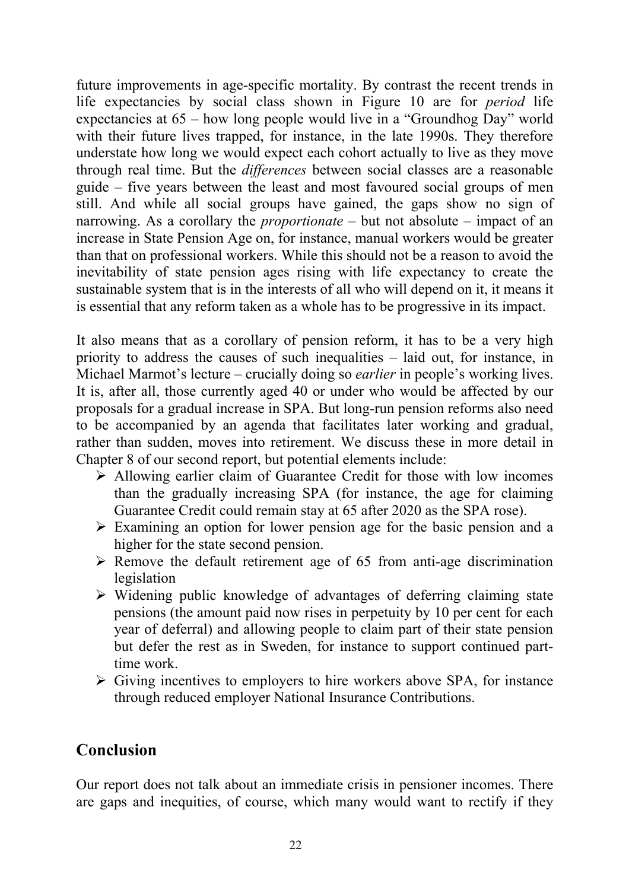future improvements in age-specific mortality. By contrast the recent trends in life expectancies by social class shown in Figure 10 are for *period* life expectancies at 65 – how long people would live in a "Groundhog Day" world with their future lives trapped, for instance, in the late 1990s. They therefore understate how long we would expect each cohort actually to live as they move through real time. But the *differences* between social classes are a reasonable guide – five years between the least and most favoured social groups of men still. And while all social groups have gained, the gaps show no sign of narrowing. As a corollary the *proportionate* – but not absolute – impact of an increase in State Pension Age on, for instance, manual workers would be greater than that on professional workers. While this should not be a reason to avoid the inevitability of state pension ages rising with life expectancy to create the sustainable system that is in the interests of all who will depend on it, it means it is essential that any reform taken as a whole has to be progressive in its impact.

It also means that as a corollary of pension reform, it has to be a very high priority to address the causes of such inequalities – laid out, for instance, in Michael Marmot's lecture – crucially doing so *earlier* in people's working lives. It is, after all, those currently aged 40 or under who would be affected by our proposals for a gradual increase in SPA. But long-run pension reforms also need to be accompanied by an agenda that facilitates later working and gradual, rather than sudden, moves into retirement. We discuss these in more detail in Chapter 8 of our second report, but potential elements include:

- $\triangleright$  Allowing earlier claim of Guarantee Credit for those with low incomes than the gradually increasing SPA (for instance, the age for claiming Guarantee Credit could remain stay at 65 after 2020 as the SPA rose).
- $\triangleright$  Examining an option for lower pension age for the basic pension and a higher for the state second pension.
- $\triangleright$  Remove the default retirement age of 65 from anti-age discrimination legislation
- $\triangleright$  Widening public knowledge of advantages of deferring claiming state pensions (the amount paid now rises in perpetuity by 10 per cent for each year of deferral) and allowing people to claim part of their state pension but defer the rest as in Sweden, for instance to support continued parttime work.
- $\triangleright$  Giving incentives to employers to hire workers above SPA, for instance through reduced employer National Insurance Contributions.

#### **Conclusion**

Our report does not talk about an immediate crisis in pensioner incomes. There are gaps and inequities, of course, which many would want to rectify if they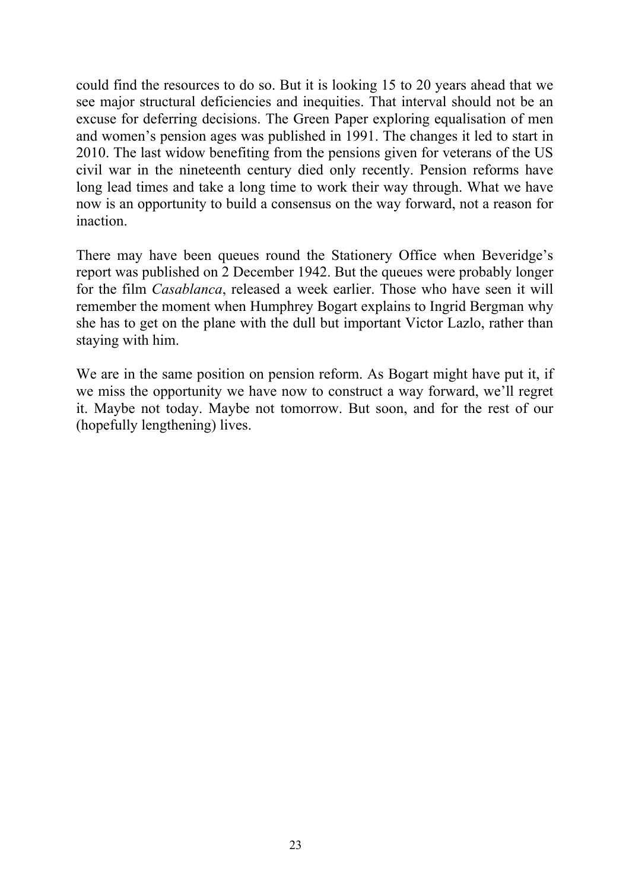could find the resources to do so. But it is looking 15 to 20 years ahead that we see major structural deficiencies and inequities. That interval should not be an excuse for deferring decisions. The Green Paper exploring equalisation of men and women's pension ages was published in 1991. The changes it led to start in 2010. The last widow benefiting from the pensions given for veterans of the US civil war in the nineteenth century died only recently. Pension reforms have long lead times and take a long time to work their way through. What we have now is an opportunity to build a consensus on the way forward, not a reason for inaction.

There may have been queues round the Stationery Office when Beveridge's report was published on 2 December 1942. But the queues were probably longer for the film *Casablanca*, released a week earlier. Those who have seen it will remember the moment when Humphrey Bogart explains to Ingrid Bergman why she has to get on the plane with the dull but important Victor Lazlo, rather than staying with him.

We are in the same position on pension reform. As Bogart might have put it, if we miss the opportunity we have now to construct a way forward, we'll regret it. Maybe not today. Maybe not tomorrow. But soon, and for the rest of our (hopefully lengthening) lives.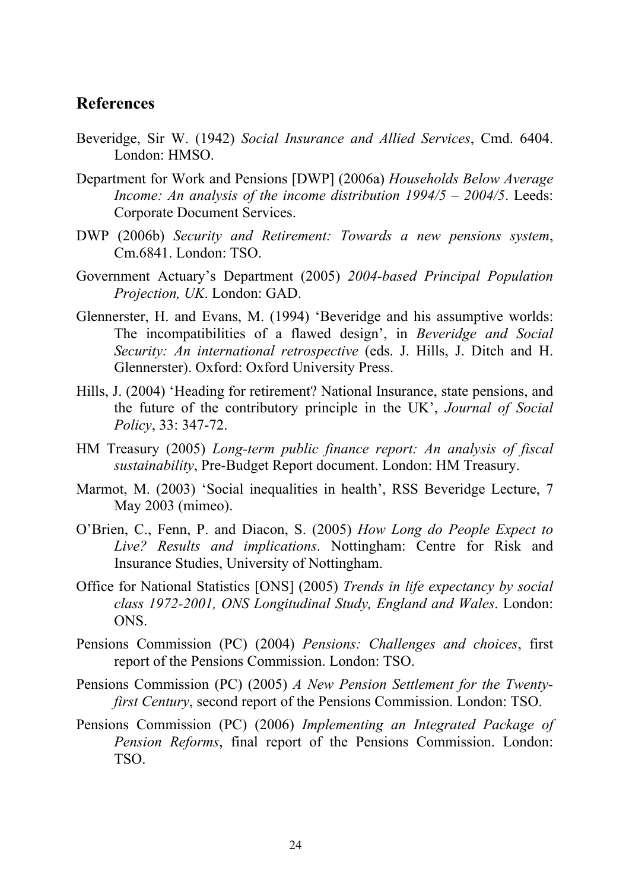#### **References**

- Beveridge, Sir W. (1942) *Social Insurance and Allied Services*, Cmd. 6404. London: HMSO.
- Department for Work and Pensions [DWP] (2006a) *Households Below Average Income: An analysis of the income distribution 1994/5 – 2004/5*. Leeds: Corporate Document Services.
- DWP (2006b) *Security and Retirement: Towards a new pensions system*, Cm.6841. London: TSO.
- Government Actuary's Department (2005) *2004-based Principal Population Projection, UK*. London: GAD.
- Glennerster, H. and Evans, M. (1994) 'Beveridge and his assumptive worlds: The incompatibilities of a flawed design', in *Beveridge and Social Security: An international retrospective* (eds. J. Hills, J. Ditch and H. Glennerster). Oxford: Oxford University Press.
- Hills, J. (2004) 'Heading for retirement? National Insurance, state pensions, and the future of the contributory principle in the UK', *Journal of Social Policy*, 33: 347-72.
- HM Treasury (2005) *Long-term public finance report: An analysis of fiscal sustainability*, Pre-Budget Report document. London: HM Treasury.
- Marmot, M. (2003) 'Social inequalities in health', RSS Beveridge Lecture, 7 May 2003 (mimeo).
- O'Brien, C., Fenn, P. and Diacon, S. (2005) *How Long do People Expect to Live? Results and implications*. Nottingham: Centre for Risk and Insurance Studies, University of Nottingham.
- Office for National Statistics [ONS] (2005) *Trends in life expectancy by social class 1972-2001, ONS Longitudinal Study, England and Wales*. London: ONS.
- Pensions Commission (PC) (2004) *Pensions: Challenges and choices*, first report of the Pensions Commission. London: TSO.
- Pensions Commission (PC) (2005) *A New Pension Settlement for the Twentyfirst Century*, second report of the Pensions Commission. London: TSO.
- Pensions Commission (PC) (2006) *Implementing an Integrated Package of Pension Reforms*, final report of the Pensions Commission. London: TSO.